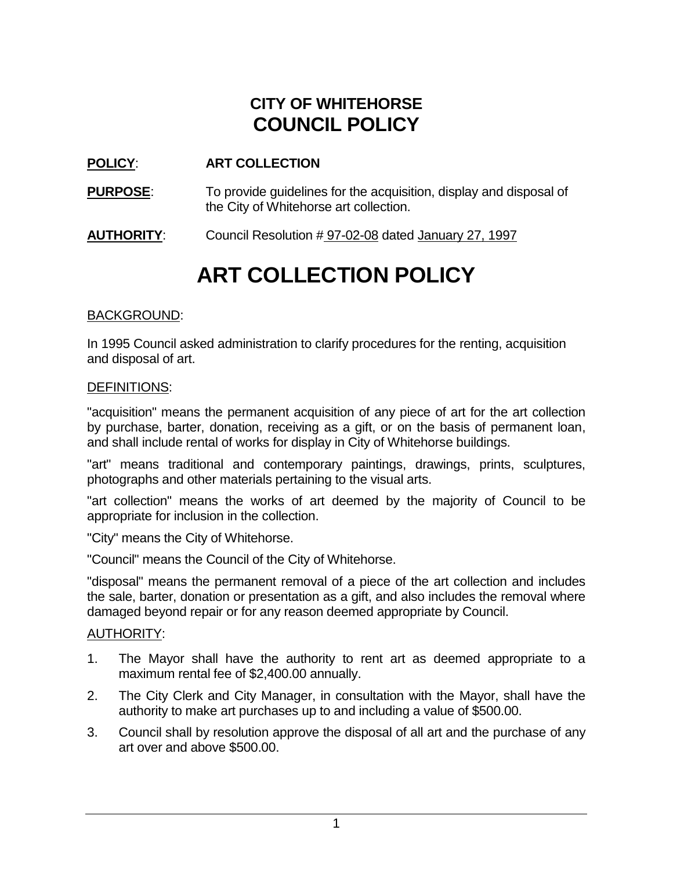## **CITY OF WHITEHORSE COUNCIL POLICY**

### **POLICY**: **ART COLLECTION**

**PURPOSE:** To provide guidelines for the acquisition, display and disposal of the City of Whitehorse art collection.

**AUTHORITY**: Council Resolution # 97-02-08 dated January 27, 1997

# **ART COLLECTION POLICY**

#### BACKGROUND:

In 1995 Council asked administration to clarify procedures for the renting, acquisition and disposal of art.

#### DEFINITIONS:

"acquisition" means the permanent acquisition of any piece of art for the art collection by purchase, barter, donation, receiving as a gift, or on the basis of permanent loan, and shall include rental of works for display in City of Whitehorse buildings.

"art" means traditional and contemporary paintings, drawings, prints, sculptures, photographs and other materials pertaining to the visual arts.

"art collection" means the works of art deemed by the majority of Council to be appropriate for inclusion in the collection.

"City" means the City of Whitehorse.

"Council" means the Council of the City of Whitehorse.

"disposal" means the permanent removal of a piece of the art collection and includes the sale, barter, donation or presentation as a gift, and also includes the removal where damaged beyond repair or for any reason deemed appropriate by Council.

#### AUTHORITY:

- 1. The Mayor shall have the authority to rent art as deemed appropriate to a maximum rental fee of \$2,400.00 annually.
- 2. The City Clerk and City Manager, in consultation with the Mayor, shall have the authority to make art purchases up to and including a value of \$500.00.
- 3. Council shall by resolution approve the disposal of all art and the purchase of any art over and above \$500.00.